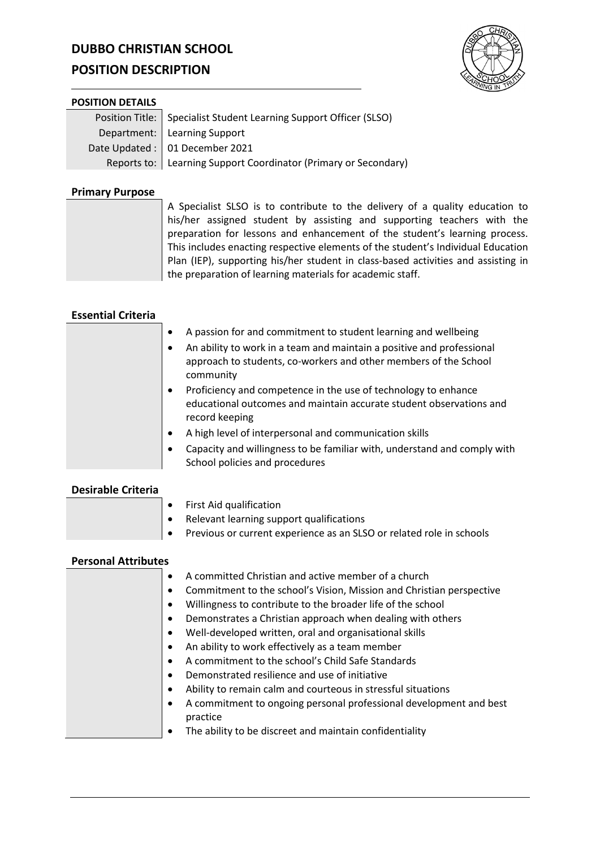# **DUBBO CHRISTIAN SCHOOL**

# **POSITION DESCRIPTION**



### **POSITION DETAILS**

| Position Title:   Specialist Student Learning Support Officer (SLSO) |
|----------------------------------------------------------------------|
| Department:   Learning Support                                       |
| Date Updated : 01 December 2021                                      |
| Reports to:   Learning Support Coordinator (Primary or Secondary)    |

## **Primary Purpose**

A Specialist SLSO is to contribute to the delivery of a quality education to his/her assigned student by assisting and supporting teachers with the preparation for lessons and enhancement of the student's learning process. This includes enacting respective elements of the student's Individual Education Plan (IEP), supporting his/her student in class-based activities and assisting in the preparation of learning materials for academic staff.

## **Essential Criteria**

| A passion for and commitment to student learning and wellbeing<br>An ability to work in a team and maintain a positive and professional<br>approach to students, co-workers and other members of the School<br>community |
|--------------------------------------------------------------------------------------------------------------------------------------------------------------------------------------------------------------------------|
| Proficiency and competence in the use of technology to enhance<br>educational outcomes and maintain accurate student observations and<br>record keeping                                                                  |
| A high level of interpersonal and communication skills                                                                                                                                                                   |
| Capacity and willingness to be familiar with, understand and comply with<br>School policies and procedures                                                                                                               |

## **Desirable Criteria**

|  | $\bullet$ First Aid qualification                                              |
|--|--------------------------------------------------------------------------------|
|  | $\bullet$ Relevant learning support qualifications                             |
|  | $\bullet$ Previous or current experience as an SLSO or related role in schools |
|  |                                                                                |

## **Personal Attributes**

| A committed Christian and active member of a church                  |
|----------------------------------------------------------------------|
| Commitment to the school's Vision, Mission and Christian perspective |
| Willingness to contribute to the broader life of the school          |
| Demonstrates a Christian approach when dealing with others           |
| Well-developed written, oral and organisational skills               |
| An ability to work effectively as a team member                      |
| A commitment to the school's Child Safe Standards                    |
| Demonstrated resilience and use of initiative                        |
| Ability to remain calm and courteous in stressful situations         |
| A commitment to ongoing personal professional development and best   |
| practice                                                             |
| The ability to be discreet and maintain confidentiality              |